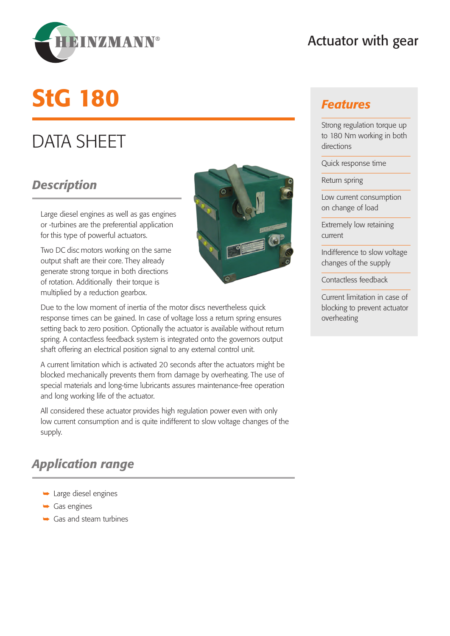

### Actuator with gear

# StG 180

## DATA SHEET

#### *Description*

Large diesel engines as well as gas engines or -turbines are the preferential application for this type of powerful actuators.

Two DC disc motors working on the same output shaft are their core. They already generate strong torque in both directions of rotation. Additionally their torque is multiplied by a reduction gearbox.



Due to the low moment of inertia of the motor discs nevertheless quick response times can be gained. In case of voltage loss a return spring ensures setting back to zero position. Optionally the actuator is available without return spring. A contactless feedback system is integrated onto the governors output shaft offering an electrical position signal to any external control unit.

A current limitation which is activated 20 seconds after the actuators might be blocked mechanically prevents them from damage by overheating. The use of special materials and long-time lubricants assures maintenance-free operation and long working life of the actuator.

All considered these actuator provides high regulation power even with only low current consumption and is quite indifferent to slow voltage changes of the supply.

#### *Application range*

- $\rightarrow$  Large diesel engines
- $\rightarrow$  Gas engines
- $\rightarrow$  Gas and steam turbines

#### *Features*

Strong regulation torque up to 180 Nm working in both directions

Quick response time

Return spring

Low current consumption on change of load

Extremely low retaining current

Indifference to slow voltage changes of the supply

Contactless feedback

Current limitation in case of blocking to prevent actuator overheating